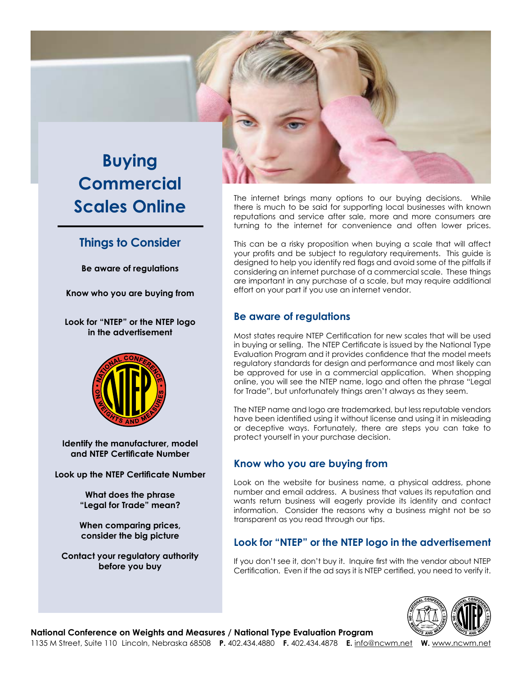# **Buying Commercial Scales Online**

# **Things to Consider**

**Be aware of regulations**

**Know who you are buying from**

**Look for "NTEP" or the NTEP logo in the advertisement**



**Identify the manufacturer, model and NTEP Certificate Number**

**Look up the NTEP Certificate Number**

**What does the phrase "Legal for Trade" mean?**

**When comparing prices, consider the big picture**

**Contact your regulatory authority before you buy**



The internet brings many options to our buying decisions. While there is much to be said for supporting local businesses with known reputations and service after sale, more and more consumers are turning to the internet for convenience and often lower prices.

This can be a risky proposition when buying a scale that will affect your profits and be subject to regulatory requirements. This guide is designed to help you identify red flags and avoid some of the pitfalls if considering an internet purchase of a commercial scale. These things are important in any purchase of a scale, but may require additional effort on your part if you use an internet vendor.

#### **Be aware of regulations**

Most states require NTEP Certification for new scales that will be used in buying or selling. The NTEP Certificate is issued by the National Type Evaluation Program and it provides confidence that the model meets regulatory standards for design and performance and most likely can be approved for use in a commercial application. When shopping online, you will see the NTEP name, logo and often the phrase "Legal for Trade", but unfortunately things aren't always as they seem.

The NTEP name and logo are trademarked, but less reputable vendors have been identified using it without license and using it in misleading or deceptive ways. Fortunately, there are steps you can take to protect yourself in your purchase decision.

## **Know who you are buying from**

Look on the website for business name, a physical address, phone number and email address. A business that values its reputation and wants return business will eagerly provide its identity and contact information. Consider the reasons why a business might not be so transparent as you read through our tips.

#### **Look for "NTEP" or the NTEP logo in the advertisement**

If you don't see it, don't buy it. Inquire first with the vendor about NTEP Certification. Even if the ad says it is NTEP certified, you need to verify it.



**National Conference on Weights and Measures / National Type Evaluation Program**

1135 M Street, Suite 110 Lincoln, Nebraska 68508 **P.** 402.434.4880 **F.** 402.434.4878 **E.** info@ncwm.net **W.** www.ncwm.net